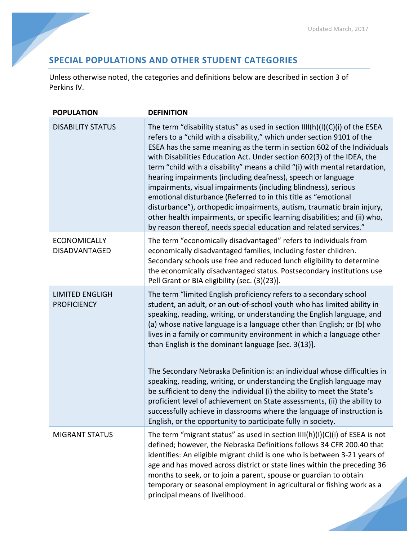## **SPECIAL POPULATIONS AND OTHER STUDENT CATEGORIES**

Unless otherwise noted, the categories and definitions below are described in section 3 of Perkins IV.

| <b>POPULATION</b>                            | <b>DEFINITION</b>                                                                                                                                                                                                                                                                                                                                                                                                                                                                                                                                                                                                                                                                                                                                                                                                           |
|----------------------------------------------|-----------------------------------------------------------------------------------------------------------------------------------------------------------------------------------------------------------------------------------------------------------------------------------------------------------------------------------------------------------------------------------------------------------------------------------------------------------------------------------------------------------------------------------------------------------------------------------------------------------------------------------------------------------------------------------------------------------------------------------------------------------------------------------------------------------------------------|
| <b>DISABILITY STATUS</b>                     | The term "disability status" as used in section $III(h)(I)(C)(i)$ of the ESEA<br>refers to a "child with a disability," which under section 9101 of the<br>ESEA has the same meaning as the term in section 602 of the Individuals<br>with Disabilities Education Act. Under section 602(3) of the IDEA, the<br>term "child with a disability" means a child "(i) with mental retardation,<br>hearing impairments (including deafness), speech or language<br>impairments, visual impairments (including blindness), serious<br>emotional disturbance (Referred to in this title as "emotional<br>disturbance"), orthopedic impairments, autism, traumatic brain injury,<br>other health impairments, or specific learning disabilities; and (ii) who,<br>by reason thereof, needs special education and related services." |
| <b>ECONOMICALLY</b><br>DISADVANTAGED         | The term "economically disadvantaged" refers to individuals from<br>economically disadvantaged families, including foster children.<br>Secondary schools use free and reduced lunch eligibility to determine<br>the economically disadvantaged status. Postsecondary institutions use<br>Pell Grant or BIA eligibility (sec. (3)(23)].                                                                                                                                                                                                                                                                                                                                                                                                                                                                                      |
| <b>LIMITED ENGLIGH</b><br><b>PROFICIENCY</b> | The term "limited English proficiency refers to a secondary school<br>student, an adult, or an out-of-school youth who has limited ability in<br>speaking, reading, writing, or understanding the English language, and<br>(a) whose native language is a language other than English; or (b) who<br>lives in a family or community environment in which a language other<br>than English is the dominant language [sec. 3(13)].<br>The Secondary Nebraska Definition is: an individual whose difficulties in                                                                                                                                                                                                                                                                                                               |
|                                              | speaking, reading, writing, or understanding the English language may<br>be sufficient to deny the individual (i) the ability to meet the State's<br>proficient level of achievement on State assessments, (ii) the ability to<br>successfully achieve in classrooms where the language of instruction is<br>English, or the opportunity to participate fully in society.                                                                                                                                                                                                                                                                                                                                                                                                                                                   |
| <b>MIGRANT STATUS</b>                        | The term "migrant status" as used in section $III(h)(I)(C)(i)$ of ESEA is not<br>defined; however, the Nebraska Definitions follows 34 CFR 200.40 that<br>identifies: An eligible migrant child is one who is between 3-21 years of<br>age and has moved across district or state lines within the preceding 36<br>months to seek, or to join a parent, spouse or guardian to obtain<br>temporary or seasonal employment in agricultural or fishing work as a<br>principal means of livelihood.                                                                                                                                                                                                                                                                                                                             |